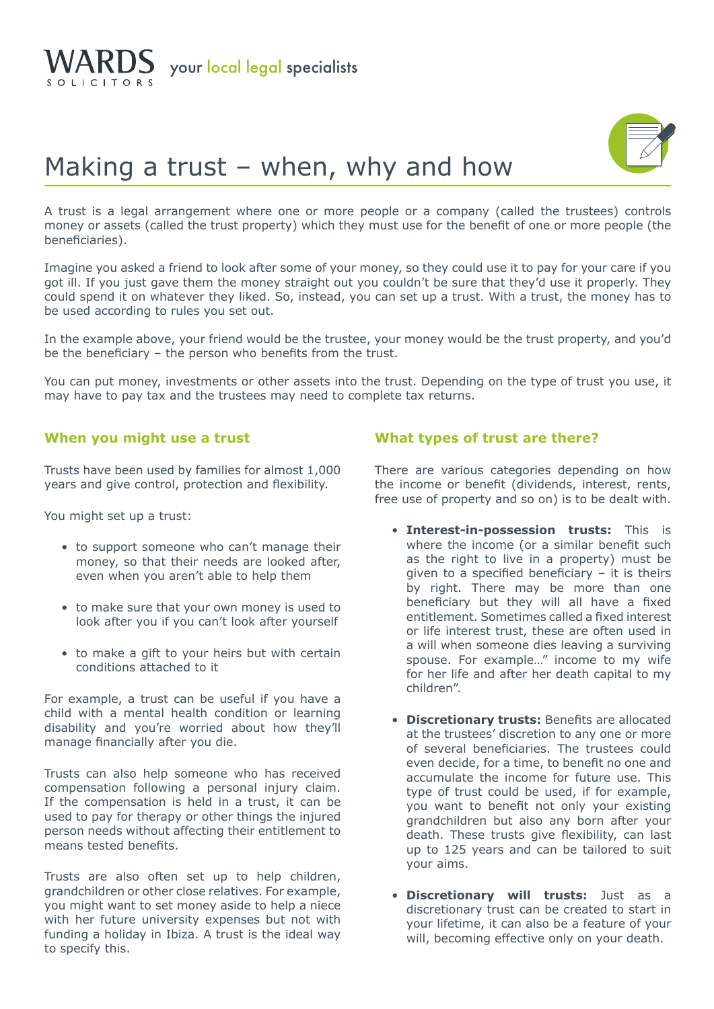



## Making a trust – when, why and how

A trust is a legal arrangement where one or more people or a company (called the trustees) controls money or assets (called the trust property) which they must use for the benefit of one or more people (the beneficiaries).

Imagine you asked a friend to look after some of your money, so they could use it to pay for your care if you got ill. If you just gave them the money straight out you couldn't be sure that they'd use it properly. They could spend it on whatever they liked. So, instead, you can set up a trust. With a trust, the money has to be used according to rules you set out.

In the example above, your friend would be the trustee, your money would be the trust property, and you'd be the beneficiary – the person who benefits from the trust.

You can put money, investments or other assets into the trust. Depending on the type of trust you use, it may have to pay tax and the trustees may need to complete tax returns.

## **When you might use a trust**

Trusts have been used by families for almost 1,000 years and give control, protection and flexibility.

You might set up a trust:

- to support someone who can't manage their money, so that their needs are looked after, even when you aren't able to help them
- to make sure that your own money is used to look after you if you can't look after yourself
- to make a gift to your heirs but with certain conditions attached to it

For example, a trust can be useful if you have a child with a mental health condition or learning disability and you're worried about how they'll manage financially after you die.

Trusts can also help someone who has received compensation following a personal injury claim. If the compensation is held in a trust, it can be used to pay for therapy or other things the injured person needs without affecting their entitlement to means tested benefits.

Trusts are also often set up to help children, grandchildren or other close relatives. For example, you might want to set money aside to help a niece with her future university expenses but not with funding a holiday in Ibiza. A trust is the ideal way to specify this.

## **What types of trust are there?**

There are various categories depending on how the income or benefit (dividends, interest, rents, free use of property and so on) is to be dealt with.

- **Interest-in-possession trusts:** This is where the income (or a similar benefit such as the right to live in a property) must be given to a specified beneficiary – it is theirs by right. There may be more than one beneficiary but they will all have a fixed entitlement. Sometimes called a fixed interest or life interest trust, these are often used in a will when someone dies leaving a surviving spouse. For example…" income to my wife for her life and after her death capital to my children".
- **Discretionary trusts:** Benefits are allocated at the trustees' discretion to any one or more of several beneficiaries. The trustees could even decide, for a time, to benefit no one and accumulate the income for future use. This type of trust could be used, if for example, you want to benefit not only your existing grandchildren but also any born after your death. These trusts give flexibility, can last up to 125 years and can be tailored to suit your aims.
- **Discretionary will trusts:** Just as a discretionary trust can be created to start in your lifetime, it can also be a feature of your will, becoming effective only on your death.